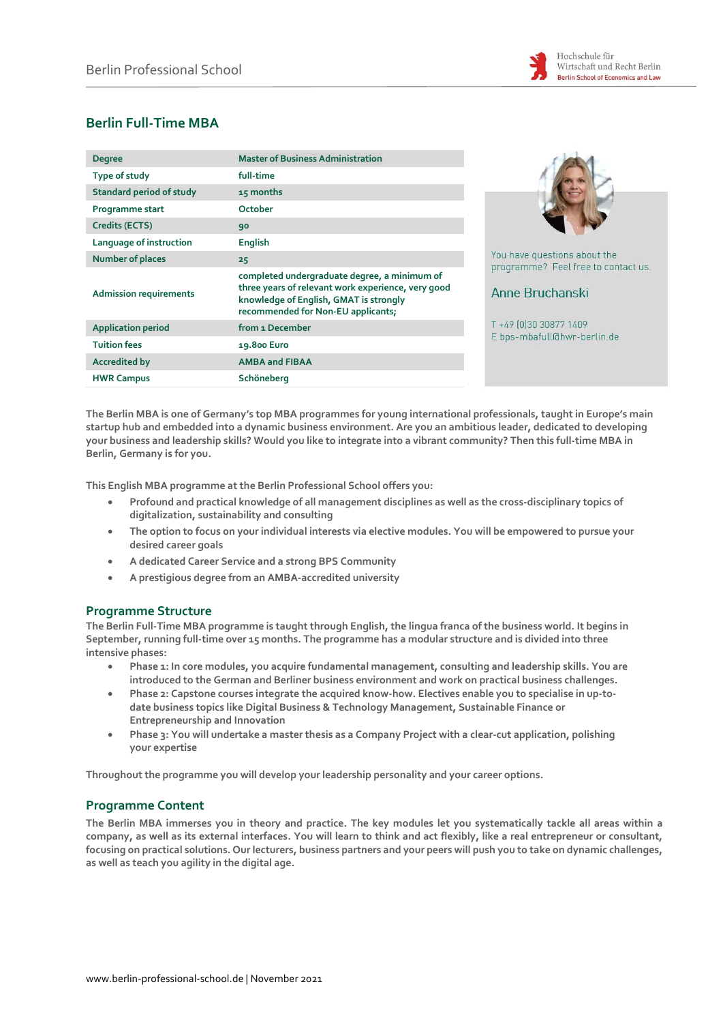

# **Berlin Full-Time MBA**

| <b>Degree</b>                   | <b>Master of Business Administration</b>                                                                                                                                           |
|---------------------------------|------------------------------------------------------------------------------------------------------------------------------------------------------------------------------------|
| Type of study                   | full-time                                                                                                                                                                          |
| <b>Standard period of study</b> | 15 months                                                                                                                                                                          |
| Programme start                 | October                                                                                                                                                                            |
| Credits (ECTS)                  | 90                                                                                                                                                                                 |
| Language of instruction         | <b>English</b>                                                                                                                                                                     |
| <b>Number of places</b>         | 25                                                                                                                                                                                 |
| <b>Admission requirements</b>   | completed undergraduate degree, a minimum of<br>three years of relevant work experience, very good<br>knowledge of English, GMAT is strongly<br>recommended for Non-EU applicants; |
| <b>Application period</b>       | from 1 December                                                                                                                                                                    |
| <b>Tuition fees</b>             | 19.800 Euro                                                                                                                                                                        |
| <b>Accredited by</b>            | <b>AMBA and FIBAA</b>                                                                                                                                                              |
| <b>HWR Campus</b>               | Schöneberg                                                                                                                                                                         |



You have questions about the programme? Feel free to contact us.

# Anne Bruchanski

T +49 (0)30 30877 1409 E bps-mbafull@hwr-berlin.de

**The Berlin MBA is one of Germany's top MBA programmes for young international professionals, taught in Europe's main startup hub and embedded into a dynamic business environment. Are you an ambitious leader, dedicated to developing your business and leadership skills? Would you like to integrate into a vibrant community? Then this full-time MBA in Berlin, Germany is for you.**

**This English MBA programme at the Berlin Professional School offers you:**

- **Profound and practical knowledge of all management disciplines as well as the cross-disciplinary topics of digitalization, sustainability and consulting**
- **The option to focus on your individual interests via elective modules. You will be empowered to pursue your desired career goals**
- **A dedicated Career Service and a strong BPS Community**
- **A prestigious degree from an AMBA-accredited university**

### **Programme Structure**

**The Berlin Full-Time MBA programme is taught through English, the lingua franca of the business world. It begins in September, running full-time over 15 months. The programme has a modular structure and is divided into three intensive phases:**

- **Phase 1: In core modules, you acquire fundamental management, consulting and leadership skills. You are introduced to the German and Berliner business environment and work on practical business challenges.**
- **Phase 2: Capstone courses integrate the acquired know-how. Electives enable you to specialise in up-todate business topics like Digital Business & Technology Management, Sustainable Finance or Entrepreneurship and Innovation**
- **Phase 3: You will undertake a master thesis as a Company Project with a clear-cut application, polishing your expertise**

**Throughout the programme you will develop your leadership personality and your career options.**

### **Programme Content**

**The Berlin MBA immerses you in theory and practice. The key modules let you systematically tackle all areas within a company, as well as its external interfaces. You will learn to think and act flexibly, like a real entrepreneur or consultant, focusing on practical solutions. Our lecturers, business partners and your peers will push you to take on dynamic challenges, as well as teach you agility in the digital age.**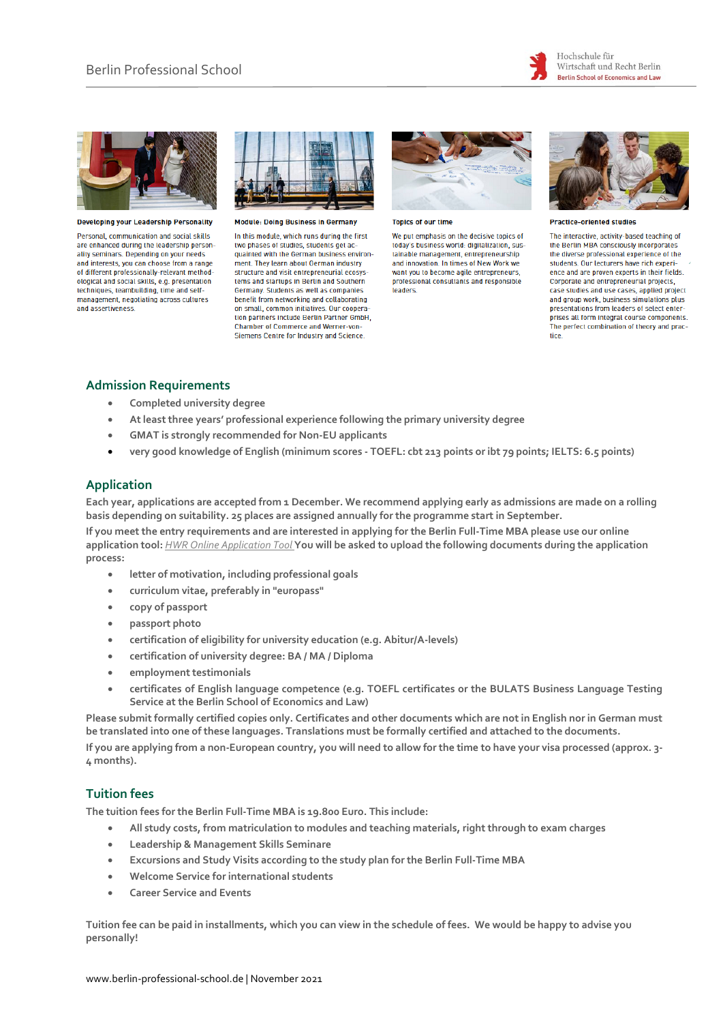



**Developing your Leadership Personality** 

Personal, communication and social skills are enhanced during the leadership personality seminars. Depending on your needs and interests, you can choose from a range of different professionally-relevant methodological and social skills, e.g. presentation techniques, teambuilding, time and selfmanagement, negotiating across cultures and assertiveness.



**Module: Doing Business in Germany** 

In this module, which runs during the first two phases of studies, students get acquainted with the German business environment. They learn about German industry structure and visit entrepreneurial ecosystems and startups in Berlin and Southern Germany. Students as well as companies benefit from networking and collaborating on small, common initiatives. Our coopera tion partners include Berlin Partner GmbH, **Chamber of Commerce and Werner-von-**Siemens Centre for Industry and Science.



**Topics of our time** 

We put emphasis on the decisive topics of today's business world: digitalization, sustainable management, entrepreneurship<br>and innovation. In times of New Work we want you to become agile entrepreneurs, professional consultants and responsible leaders



**Practice-oriented studies** 

The interactive, activity-based teaching of the Berlin MBA consciously incorporates the diverse professional experience of the students. Our lecturers have rich experience and are proven experts in their fields. Corporate and entrepreneurial projects. case studies and use cases, applied project and group work, business simulations plus presentations from leaders of select enterprises all form integral course components. The perfect combination of theory and practice.

### **Admission Requirements**

- **Completed university degree**
- **At least three years' professional experience following the primary university degree**
- **GMAT is strongly recommended for Non-EU applicants**
- **very good knowledge of English (minimum scores - TOEFL: cbt 213 points or ibt 79 points; IELTS: 6.5 points)**

## **Application**

**Each year, applications are accepted from 1 December. We recommend applying early as admissions are made on a rolling basis depending on suitability. 25 places are assigned annually for the programme start in September.**

**If you meet the entry requirements and are interested in applying for the Berlin Full-Time MBA please use our online application tool:** *[HWR Online Application Tool](https://finca.hwr-berlin.de/scripts/mgrqispi.dll?APPNAME=CampusNet&PRGNAME=EXTERNALPAGES&ARGUMENTS=-N000000000000002,-N000321,-Astartpageeng)* **You will be asked to upload the following documents during the application process:**

- **letter of motivation, including professional goals**
- **curriculum vitae, preferably in "europass"**
- **copy of passport**
- **passport photo**
- **certification of eligibility for university education (e.g. Abitur/A-levels)**
- **certification of university degree: BA / MA / Diploma**
- **employment testimonials**
- **certificates of English language competence (e.g. TOEFL certificates or the BULATS Business Language Testing Service at the Berlin School of Economics and Law)**

**Please submit formally certified copies only. Certificates and other documents which are not in English nor in German must be translated into one of these languages. Translations must be formally certified and attached to the documents. If you are applying from a non-European country, you will need to allow for the time to have your visa processed (approx. 3- 4 months).**

### **Tuition fees**

**The tuition fees for the Berlin Full-Time MBA is 19.800 Euro. This include:**

- **All study costs, from matriculation to modules and teaching materials, right through to exam charges**
- **Leadership & Management Skills Seminare**
- **Excursions and Study Visits according to the study plan for the Berlin Full-Time MBA**
- **Welcome Service for international students**
- **Career Service and Events**

**Tuition fee can be paid in installments, which you can view in the schedule of fees. We would be happy to advise you personally!**